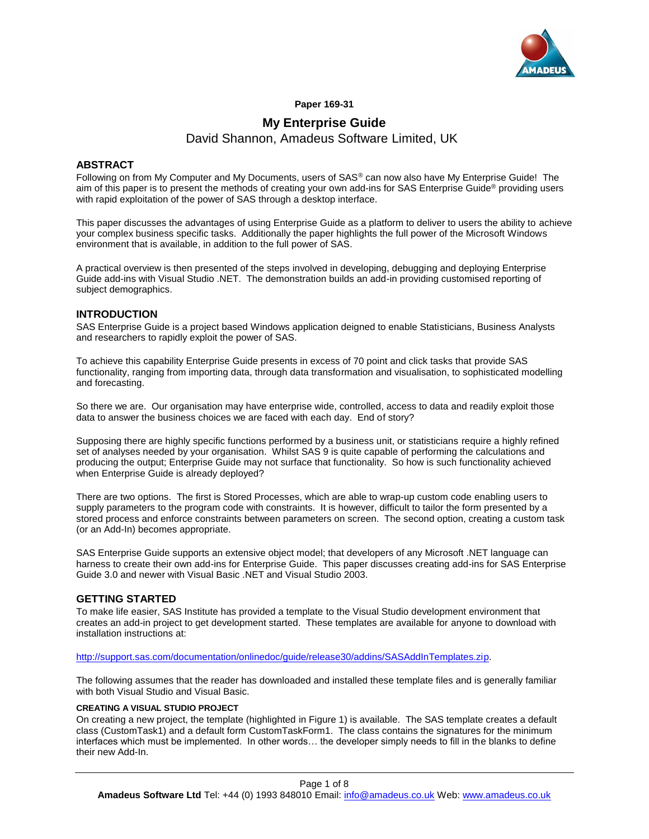

#### **Paper 169-31**

# **My Enterprise Guide** David Shannon, Amadeus Software Limited, UK

## **ABSTRACT**

Following on from My Computer and My Documents, users of SAS® can now also have My Enterprise Guide! The aim of this paper is to present the methods of creating your own add-ins for SAS Enterprise Guide® providing users with rapid exploitation of the power of SAS through a desktop interface.

This paper discusses the advantages of using Enterprise Guide as a platform to deliver to users the ability to achieve your complex business specific tasks. Additionally the paper highlights the full power of the Microsoft Windows environment that is available, in addition to the full power of SAS.

A practical overview is then presented of the steps involved in developing, debugging and deploying Enterprise Guide add-ins with Visual Studio .NET. The demonstration builds an add-in providing customised reporting of subject demographics.

#### **INTRODUCTION**

SAS Enterprise Guide is a project based Windows application deigned to enable Statisticians, Business Analysts and researchers to rapidly exploit the power of SAS.

To achieve this capability Enterprise Guide presents in excess of 70 point and click tasks that provide SAS functionality, ranging from importing data, through data transformation and visualisation, to sophisticated modelling and forecasting.

So there we are. Our organisation may have enterprise wide, controlled, access to data and readily exploit those data to answer the business choices we are faced with each day. End of story?

Supposing there are highly specific functions performed by a business unit, or statisticians require a highly refined set of analyses needed by your organisation. Whilst SAS 9 is quite capable of performing the calculations and producing the output; Enterprise Guide may not surface that functionality. So how is such functionality achieved when Enterprise Guide is already deployed?

There are two options. The first is Stored Processes, which are able to wrap-up custom code enabling users to supply parameters to the program code with constraints. It is however, difficult to tailor the form presented by a stored process and enforce constraints between parameters on screen. The second option, creating a custom task (or an Add-In) becomes appropriate.

SAS Enterprise Guide supports an extensive object model; that developers of any Microsoft .NET language can harness to create their own add-ins for Enterprise Guide. This paper discusses creating add-ins for SAS Enterprise Guide 3.0 and newer with Visual Basic .NET and Visual Studio 2003.

### **GETTING STARTED**

To make life easier, SAS Institute has provided a template to the Visual Studio development environment that creates an add-in project to get development started. These templates are available for anyone to download with installation instructions at:

[http://support.sas.com/documentation/onlinedoc/guide/release30/addins/SASAddInTemplates.zip.](http://support.sas.com/documentation/onlinedoc/guide/release30/addins/SASAddInTemplates.zip)

The following assumes that the reader has downloaded and installed these template files and is generally familiar with both Visual Studio and Visual Basic.

#### **CREATING A VISUAL STUDIO PROJECT**

On creating a new project, the template (highlighted in Figure 1) is available. The SAS template creates a default class (CustomTask1) and a default form CustomTaskForm1. The class contains the signatures for the minimum interfaces which must be implemented. In other words… the developer simply needs to fill in the blanks to define their new Add-In.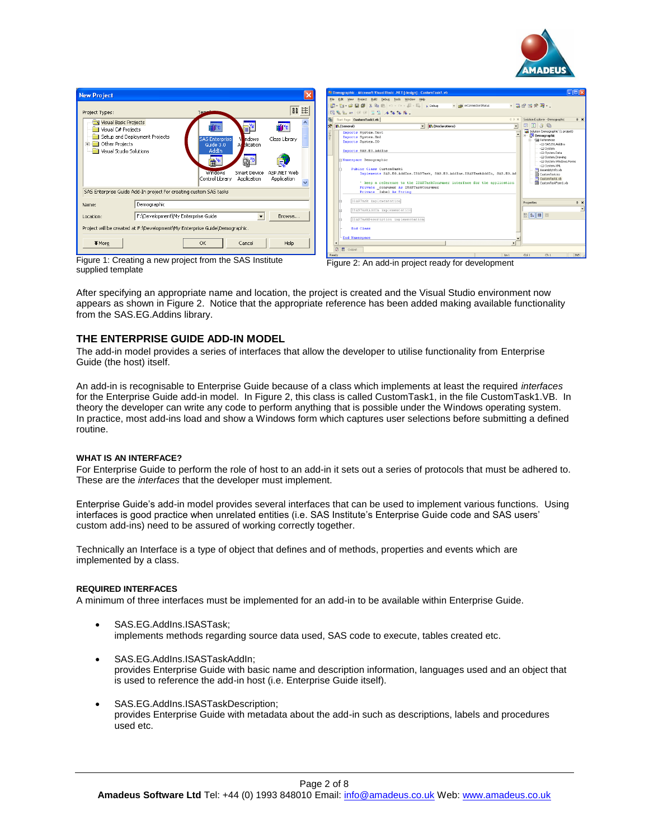

| <b>New Project</b>                                                                                         |                                                                   |                                             |                                      |                            |  |  |  |
|------------------------------------------------------------------------------------------------------------|-------------------------------------------------------------------|---------------------------------------------|--------------------------------------|----------------------------|--|--|--|
| Project Types:                                                                                             |                                                                   | Tem                                         |                                      |                            |  |  |  |
| Visual Basic Projects<br>Visual C# Projects<br>Other Projects<br>$\overline{+}$<br>Visual Studio Solutions | Setup and Deployment Projects                                     | <b>SAS Enterprise</b><br>Guide 3.0<br>AddIn | <b>hdows</b><br>M<br>blication<br>Ad | Class Library              |  |  |  |
|                                                                                                            |                                                                   | Windows<br>Control Library                  | Smart Device<br>Application          | ASP.NET Web<br>Application |  |  |  |
|                                                                                                            | SAS Enterprise Guide Add-In project for creating custom SAS tasks |                                             |                                      |                            |  |  |  |
| Name:                                                                                                      | Demographic                                                       |                                             |                                      |                            |  |  |  |
| Location:                                                                                                  | F:\Development\My Enterprise Guide                                |                                             | $\overline{\phantom{a}}$             | Browse                     |  |  |  |
| Project will be created at F:\Development\My Enterprise Guide\Demographic.                                 |                                                                   |                                             |                                      |                            |  |  |  |
| $\blacktriangleright$ More                                                                                 |                                                                   | OK                                          | Cancel                               | Help                       |  |  |  |

| <sup>2</sup> Demographic - Microsoft Visual Basic .NET [design] - CustomTask1.vb                                                                                                                                                                                                                                                                                            | $ \Box$ $\times$                                                                                                                                                                                                                                                                                          |
|-----------------------------------------------------------------------------------------------------------------------------------------------------------------------------------------------------------------------------------------------------------------------------------------------------------------------------------------------------------------------------|-----------------------------------------------------------------------------------------------------------------------------------------------------------------------------------------------------------------------------------------------------------------------------------------------------------|
| File Edit View Project Build Debug Tools Window Help                                                                                                                                                                                                                                                                                                                        |                                                                                                                                                                                                                                                                                                           |
| - nilà mConnectionStatus                                                                                                                                                                                                                                                                                                                                                    | - 感謝國の語 …                                                                                                                                                                                                                                                                                                 |
| 同島島村 住宿 三皇 メルルル                                                                                                                                                                                                                                                                                                                                                             |                                                                                                                                                                                                                                                                                                           |
| Sat Page CustomTask1.vb                                                                                                                                                                                                                                                                                                                                                     | Solution Explorer - Demographic<br>4 b x<br>$x \times$                                                                                                                                                                                                                                                    |
| 公 In (General)<br><b>IA</b> (Declarations)                                                                                                                                                                                                                                                                                                                                  | 田田田田<br>$\blacktriangledown$                                                                                                                                                                                                                                                                              |
| Imports System. Text<br>Imports System. Xml<br>Imports System. IO<br>Imports SAS.EG.AddIns<br>Namespace Demographic<br>Public Class CustomTask1<br>Implements SAS.EG.AddIns.ISASTask. SAS.EG.AddIns.ISASTaskAddIn. SAS.EG.Ad<br>' keep a reference to the ISASTaskConsumer interface for the application<br>Private consumer As ISASTaskConsumer<br>Private label As String | Solution Demographic' (1 project)<br>Soution Company<br>References<br>- - III SAS.EG.Addins<br>- - System<br>- «El System.Data<br>- - Di System. Drawing<br>- - El System. Windows. Forms<br>- - D System.XML<br>M AssemblyInfo.vb<br>CustomTask.iro<br>(b) CustomTask1.vb<br><b>B</b> CustomTaskForm1.vb |
| ISASTask implementation                                                                                                                                                                                                                                                                                                                                                     | Properties<br>$0 \times$                                                                                                                                                                                                                                                                                  |
| ISASTaskAddIn implementation                                                                                                                                                                                                                                                                                                                                                | 数斜回回                                                                                                                                                                                                                                                                                                      |
| ISASTaskDescription implementation                                                                                                                                                                                                                                                                                                                                          |                                                                                                                                                                                                                                                                                                           |
| End Class<br>-End Namespace                                                                                                                                                                                                                                                                                                                                                 |                                                                                                                                                                                                                                                                                                           |
| $\blacktriangleleft$                                                                                                                                                                                                                                                                                                                                                        | ¥                                                                                                                                                                                                                                                                                                         |
| 内<br>$E1$ Output                                                                                                                                                                                                                                                                                                                                                            |                                                                                                                                                                                                                                                                                                           |
| Ready                                                                                                                                                                                                                                                                                                                                                                       | <b>INS</b><br>Col <sub>1</sub><br>Ch1<br>ln 1                                                                                                                                                                                                                                                             |

Figure 1: Creating a new project from the SAS Institute supplied template

Figure 2: An add-in project ready for development

After specifying an appropriate name and location, the project is created and the Visual Studio environment now appears as shown in Figure 2. Notice that the appropriate reference has been added making available functionality from the SAS.EG.Addins library.

# **THE ENTERPRISE GUIDE ADD-IN MODEL**

The add-in model provides a series of interfaces that allow the developer to utilise functionality from Enterprise Guide (the host) itself.

An add-in is recognisable to Enterprise Guide because of a class which implements at least the required *interfaces* for the Enterprise Guide add-in model. In Figure 2, this class is called CustomTask1, in the file CustomTask1.VB. In theory the developer can write any code to perform anything that is possible under the Windows operating system. In practice, most add-ins load and show a Windows form which captures user selections before submitting a defined routine.

#### **WHAT IS AN INTERFACE?**

For Enterprise Guide to perform the role of host to an add-in it sets out a series of protocols that must be adhered to. These are the *interfaces* that the developer must implement.

Enterprise Guide's add-in model provides several interfaces that can be used to implement various functions. Using interfaces is good practice when unrelated entities (i.e. SAS Institute's Enterprise Guide code and SAS users' custom add-ins) need to be assured of working correctly together.

Technically an Interface is a type of object that defines and of methods, properties and events which are implemented by a class.

#### **REQUIRED INTERFACES**

A minimum of three interfaces must be implemented for an add-in to be available within Enterprise Guide.

- SAS.EG.AddIns.ISASTask; implements methods regarding source data used, SAS code to execute, tables created etc.
- SAS.EG.AddIns.ISASTaskAddIn; provides Enterprise Guide with basic name and description information, languages used and an object that is used to reference the add-in host (i.e. Enterprise Guide itself).
- SAS.EG.AddIns.ISASTaskDescription; provides Enterprise Guide with metadata about the add-in such as descriptions, labels and procedures used etc.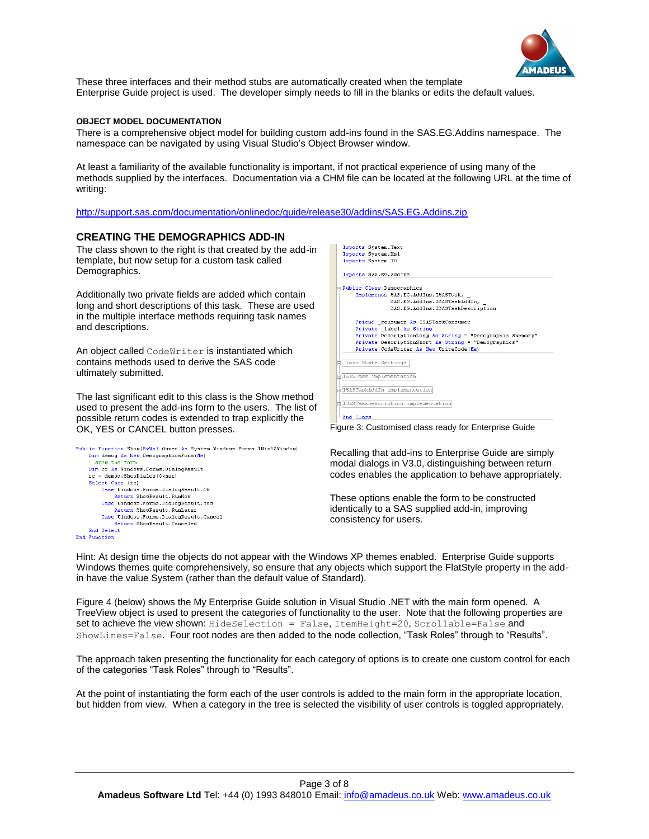

These three interfaces and their method stubs are automatically created when the template Enterprise Guide project is used. The developer simply needs to fill in the blanks or edits the default values.

#### **OBJECT MODEL DOCUMENTATION**

There is a comprehensive object model for building custom add-ins found in the SAS.EG.Addins namespace. The namespace can be navigated by using Visual Studio's Object Browser window.

At least a familiarity of the available functionality is important, if not practical experience of using many of the methods supplied by the interfaces. Documentation via a CHM file can be located at the following URL at the time of writing:

<http://support.sas.com/documentation/onlinedoc/guide/release30/addins/SAS.EG.Addins.zip>

#### **CREATING THE DEMOGRAPHICS ADD-IN**

The class shown to the right is that created by the add-in template, but now setup for a custom task called Demographics.

Additionally two private fields are added which contain long and short descriptions of this task. These are used in the multiple interface methods requiring task names and descriptions.

An object called CodeWriter is instantiated which contains methods used to derive the SAS code ultimately submitted.

The last significant edit to this class is the Show method used to present the add-ins form to the users. The list of possible return codes is extended to trap explicitly the OK, YES or CANCEL button presses. Figure 3: Customised class ready for Enterprise Guide

```
Public Function Show(ByVal Owner As System.Windows.Forms.IWin32Window)
   Dim demog As New DemographicsForm(Me)
     show the form
    Dim rc As Windows.Forms.DialogResult
    rc = demog.ShowDialog(Owner)
    Select Case (rc)
       Case Windows. Forms. DialogResult. OK
           Return ShowResult.RunNow
       Case Windows.Forms.DialogResult.Yes
           Return ShowResult.RunLater
       Case Windows. Forms. DialogResult. Cancel
            Return ShowResult.Canceled
    End Select
End Function
```


Recalling that add-ins to Enterprise Guide are simply modal dialogs in V3.0, distinguishing between return codes enables the application to behave appropriately.

These options enable the form to be constructed identically to a SAS supplied add-in, improving consistency for users.

Hint: At design time the objects do not appear with the Windows XP themes enabled. Enterprise Guide supports Windows themes quite comprehensively, so ensure that any objects which support the FlatStyle property in the addin have the value System (rather than the default value of Standard).

[Figure 4](#page-3-0) (below) shows the My Enterprise Guide solution in Visual Studio .NET with the main form opened. A TreeView object is used to present the categories of functionality to the user. Note that the following properties are set to achieve the view shown: HideSelection = False, ItemHeight=20, Scrollable=False and ShowLines=False. Four root nodes are then added to the node collection, "Task Roles" through to "Results".

The approach taken presenting the functionality for each category of options is to create one custom control for each of the categories "Task Roles" through to "Results".

At the point of instantiating the form each of the user controls is added to the main form in the appropriate location, but hidden from view. When a category in the tree is selected the visibility of user controls is toggled appropriately.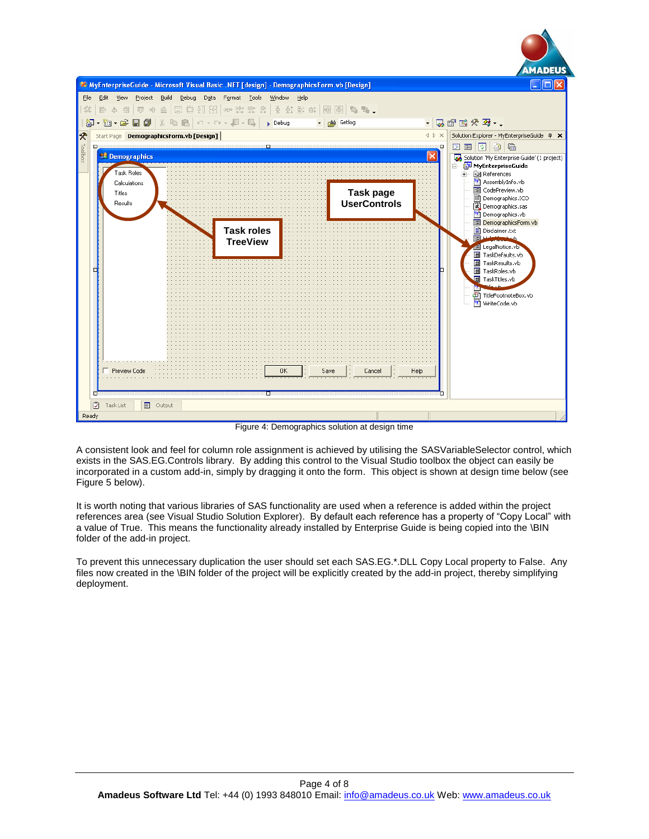

Figure 4: Demographics solution at design time

<span id="page-3-0"></span>A consistent look and feel for column role assignment is achieved by utilising the SASVariableSelector control, which exists in the SAS.EG.Controls library. By adding this control to the Visual Studio toolbox the object can easily be incorporated in a custom add-in, simply by dragging it onto the form. This object is shown at design time below (see Figure 5 below).

It is worth noting that various libraries of SAS functionality are used when a reference is added within the project references area (see Visual Studio Solution Explorer). By default each reference has a property of "Copy Local" with a value of True. This means the functionality already installed by Enterprise Guide is being copied into the \BIN folder of the add-in project.

To prevent this unnecessary duplication the user should set each SAS.EG.\*.DLL Copy Local property to False. Any files now created in the \BIN folder of the project will be explicitly created by the add-in project, thereby simplifying deployment.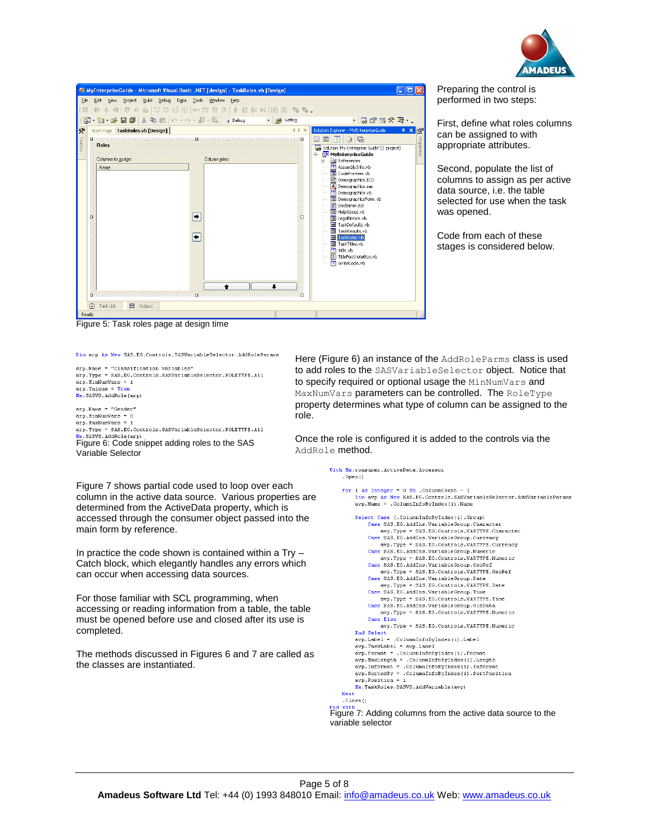

Preparing the control is performed in two steps:

First, define what roles columns can be assigned to with appropriate attributes.

Second, populate the list of columns to assign as per active data source, i.e. the table selected for use when the task

Code from each of these stages is considered below.

was opened.

| We MyEnterpriseGuide - Microsoft Visual Basic .NET [design] - TaskRoles.vb [Design]<br>Build<br>Debua<br>Tools Window<br>File<br>Edit<br>View<br>Project<br>Data<br>Help<br>  台目  町 ※ 业  眾##打路  咖啡柴柴柴  台鼓群蚌  晒圆  幅幅。<br>草<br>E<br><b>如 • 2 日 5 太 4 七 七 1</b> × ~ × ・ 月 • 耳   → Debug<br>御<br>- phi Getlog<br>$\overline{\phantom{a}}$ | ・あず酸犬ろ・                                                                                                                                                                                                                                                                                                                                                                                                                                                                                                                                                                                 |
|---------------------------------------------------------------------------------------------------------------------------------------------------------------------------------------------------------------------------------------------------------------------------------------------------------------------------------------|-----------------------------------------------------------------------------------------------------------------------------------------------------------------------------------------------------------------------------------------------------------------------------------------------------------------------------------------------------------------------------------------------------------------------------------------------------------------------------------------------------------------------------------------------------------------------------------------|
| ⊗<br>√ D X<br>Start Page TaskRoles.vb [Design]<br>Toolbox<br>п<br><b>Roles</b><br>Columns to assign:<br>Column roles:<br>Name<br>٠<br>ö<br>n<br>٠<br>$\Box$<br>$\Box$<br>n                                                                                                                                                            | Solution Explorer - MyEnterpriseGuide<br>$\mathfrak{p} \times$<br>F<br>Properties<br>$\Box$<br>ाद्य<br>圓<br>国<br>Solution 'My Enterprise Guide' (1 project)<br>◛<br>MyEnterpriseGuide<br>Ė-<br>a References<br>Ėŀ.<br>AssemblyInfo.vb<br>۳eŋ<br>E CodePreview.vb<br>Demographics.ICO<br>図 Demographics.sas<br>唒<br>Demographics.vb<br><b>E DemographicsForm.vb</b><br>Disclaimer.txt<br>E HelpAbout.vb<br>E LegalNotice.vb<br><b>H</b> TaskDefaults.vb<br>丽<br>TaskResults.vb<br>田<br>TaskRoles.vb<br>田<br>TaskTitles.vb<br>781<br>Title.vb<br>TitleFootnoteBox.vh<br>丽<br>WriteCode.vb |
| 7<br>Task List<br>目<br>Output<br>Ready                                                                                                                                                                                                                                                                                                |                                                                                                                                                                                                                                                                                                                                                                                                                                                                                                                                                                                         |

Figure 5: Task roles page at design time

Dim arp As New SAS.EG.Controls.SASVariableSelector.AddRoleParams

arn Name = "Classification warishles" arp.name crassriboated variableselector.ROLETYPE.All  $arp.MinNumVars = 1$  $\mathtt{arp}$  . Unique  $\,$  = Me. SASVS. AddRole (arp)

 $arp.Mame = "Gender"$  $\exp$ . MinNumVars = 0<br>arp. MaxNumVars = 1 arp. Type = SAS. EG. Controls. SASVariableSelector. ROLETYPE. All Me. SASVS. AddRole (arp)<br>Figure 6: Code snippet adding roles to the SAS

Variable Selector

Figure 7 shows partial code used to loop over each column in the active data source. Various properties are determined from the ActiveData property, which is accessed through the consumer object passed into the main form by reference.

In practice the code shown is contained within a Try – Catch block, which elegantly handles any errors which can occur when accessing data sources.

For those familiar with SCL programming, when accessing or reading information from a table, the table must be opened before use and closed after its use is completed.

The methods discussed in Figures 6 and 7 are called as the classes are instantiated.

Here (Figure 6) an instance of the AddRoleParms class is used to add roles to the SASVariableSelector object. Notice that to specify required or optional usage the MinNumVars and MaxNumVars parameters can be controlled. The RoleType property determines what type of column can be assigned to the role.

Once the role is configured it is added to the controls via the AddRole method.

```
With Me.consumer.ActiveData.Accessor
      .Open<sup>(1)</sup>
     For i As Integer = 0 To . ColumnCount - 1
            n marry New SAS.EG.Controls.SASVariableSelector.AddVariableParams<br>avp.Name = .ColumnInfoByIndex(i).Name
           Select Case (.ColumnInfoByIndex(i).Group)<br>Case SAS.EG.AddIns.VariableGroup.Character
                  ave. Type = SAS.EG.Controls.VARTYPE.Currency<br>Case SAS.EG.AddIns.VariableGroup.Numeric
                         avp.Tvpe = SAS.EG.Controls.VARTYPE.Numeric
                  Case SAS.EG.AddIns.VariableGroup.GeoRef
                         avp. Type = SAS. EG. Controls. VARTYPE. GeoRef
                  Case SAS.EG.AddIns.VariableGroup.Date<br>avp.Type = SAS.EG.Controls.VARTYPE.Date
                  Case SAS.EG.AddIns.VariableGroun.Time
                         avp.Type = SAS.EG.Controls.VARTYPE.Time
                  Case SAS.EG.AddIns.VariableGroup.OleData
                  Case SAS.EG.AddIns.VariableGroup.OleData<br>avp.Type = SAS.EG.Controls.VARTYPE.Numeric<br>Case Else
            ave. Type = SAS.EG.Controls.VARTYPE.Numeric<br>
End Select<br>
avp.Label = .ColumnInfoByIndex(i).Label
            avp.nasti :cordaminicosymacx(1):nasti<br>avp.TaskLabel = avp.Label<br>avp.Format = .ColumnInfoByIndex(i).Format
            avp. MaxLength = .Columninopyindex(i).Comma<br>avp. MaxLength = .ColumnInfoByIndex(i).Length<br>avp.Informat = .ColumnInfoByIndex(i).Informat<br>avp.SortedBy = .ColumnInfoByIndex(i).SortPosition<br>avp.Position = i
            Me.TaskRoles.SASVS.AddVariable(avp)
      .Close()
```
Figure 7: Adding columns from the active data source to the variable selector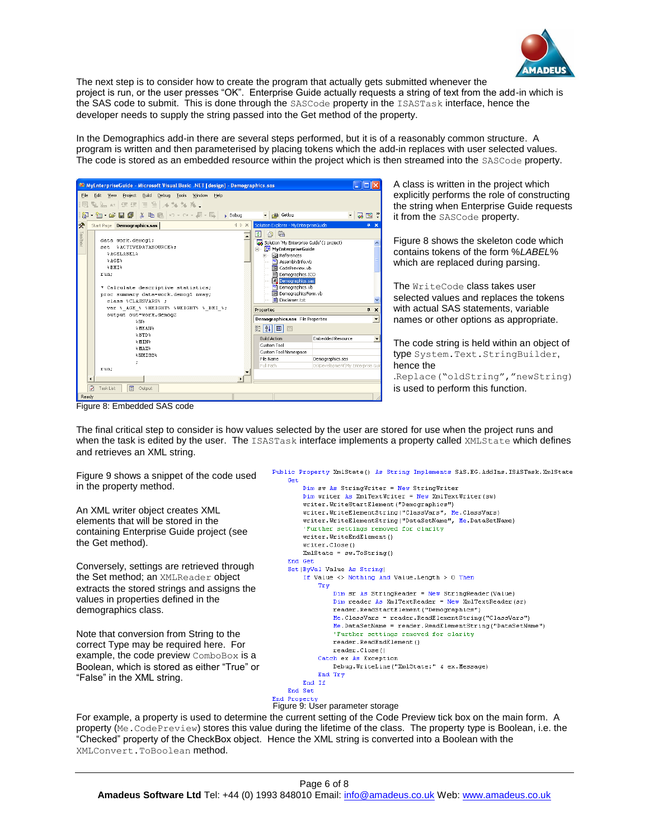

The next step is to consider how to create the program that actually gets submitted whenever the project is run, or the user presses "OK". Enterprise Guide actually requests a string of text from the add-in which is the SAS code to submit. This is done through the SASCode property in the ISASTask interface, hence the developer needs to supply the string passed into the Get method of the property.

In the Demographics add-in there are several steps performed, but it is of a reasonably common structure. A program is written and then parameterised by placing tokens which the add-in replaces with user selected values. The code is stored as an embedded resource within the project which is then streamed into the SASCode property.

|           |                      | We MyEnterpriseGuide - Microsoft Visual Basic .NET [design] - Demographics.sas                                                                                                                                                                             |                                                           |                                                                                                                                                                                                                                                                                                                   |                                  |                          |  |  |
|-----------|----------------------|------------------------------------------------------------------------------------------------------------------------------------------------------------------------------------------------------------------------------------------------------------|-----------------------------------------------------------|-------------------------------------------------------------------------------------------------------------------------------------------------------------------------------------------------------------------------------------------------------------------------------------------------------------------|----------------------------------|--------------------------|--|--|
| File<br>量 |                      | Edit<br>Build<br>Debug Tools<br><b>View</b><br>Project<br>Window<br>Help<br>鬼編 # 宇建 目号 メななん。                                                                                                                                                               |                                                           |                                                                                                                                                                                                                                                                                                                   |                                  |                          |  |  |
| 嗣         |                      | <b>・御・2日間 ※ 略唱   の・ペ・月・周 </b>                                                                                                                                                                                                                              | $\triangleright$ Debug                                    | <b>nda</b> Getlog                                                                                                                                                                                                                                                                                                 | $\bullet$                        | <b>BY</b>                |  |  |
| 分         |                      | Start Page   Demographics.sas                                                                                                                                                                                                                              | $\left\langle \downarrow \uparrow \right\rangle$ $\times$ | Solution Explorer - MyEnterpriseGuide                                                                                                                                                                                                                                                                             |                                  | п.<br>×                  |  |  |
| Toolbox   |                      | data work.demog1;<br>set & ACTIVEDATASOURCE%:<br><b>&amp;AGELABEL&amp;</b><br>A G E<br><b>ARMTA</b><br>run:<br>* Calculate descriptive statistics;<br>proc summary data=work.demog1 nway;<br>class %CLASSVARS% :<br>var % AGE % *HEIGHT% *WEIGHT* * BMI *; |                                                           | 喻。<br>e.<br>IФI<br>Solution 'My Enterprise Guide' (1 project)<br>MyEnterpriseGuide<br>Ėŀ.<br><b>Fig. References</b><br><sup>NB</sup> AssemblyInfo.vb<br><b>El</b> CodePreview.vb<br>Demographics.ICO<br>Demographics.sas<br>Demographics.vb<br><b>Ed</b> DemographicsForm.vb<br>Disclaimer.txt<br>Properties<br>4 |                                  |                          |  |  |
|           |                      | output out=work.demog2<br>\$M\$                                                                                                                                                                                                                            |                                                           | Demographics.sas File Properties                                                                                                                                                                                                                                                                                  |                                  | $\overline{\phantom{a}}$ |  |  |
|           |                      | <b>SMEANS</b><br><b>ASTDA</b>                                                                                                                                                                                                                              |                                                           | 黚<br>I∄į<br>恒<br>回                                                                                                                                                                                                                                                                                                |                                  |                          |  |  |
|           |                      | %HIN%                                                                                                                                                                                                                                                      |                                                           | <b>Build Action</b>                                                                                                                                                                                                                                                                                               | <b>Embedded Resource</b>         |                          |  |  |
|           |                      | A MAXA                                                                                                                                                                                                                                                     |                                                           | <b>Custom Tool</b><br>Custom Tool Namespace                                                                                                                                                                                                                                                                       |                                  |                          |  |  |
|           |                      | <b>ANNISSA</b>                                                                                                                                                                                                                                             |                                                           | File Name                                                                                                                                                                                                                                                                                                         | Demographics.sas                 |                          |  |  |
|           |                      | run:                                                                                                                                                                                                                                                       |                                                           | Full Path                                                                                                                                                                                                                                                                                                         | D:\Development\Mv Enterprise Gui |                          |  |  |
|           | $\blacktriangleleft$ |                                                                                                                                                                                                                                                            | Ы                                                         |                                                                                                                                                                                                                                                                                                                   |                                  |                          |  |  |
|           | Ø                    | Task List<br>目<br>Output                                                                                                                                                                                                                                   |                                                           |                                                                                                                                                                                                                                                                                                                   |                                  |                          |  |  |
|           | Ready                |                                                                                                                                                                                                                                                            |                                                           |                                                                                                                                                                                                                                                                                                                   |                                  |                          |  |  |

A class is written in the project which explicitly performs the role of constructing the string when Enterprise Guide requests it from the SASCode property.

Figure 8 shows the skeleton code which contains tokens of the form %*LABEL*% which are replaced during parsing.

The WriteCode class takes user selected values and replaces the tokens with actual SAS statements, variable names or other options as appropriate.

The code string is held within an object of type System.Text.StringBuilder, hence the

.Replace("oldString","newString) is used to perform this function.

Figure 8: Embedded SAS code

The final critical step to consider is how values selected by the user are stored for use when the project runs and when the task is edited by the user. The ISASTask interface implements a property called XMLState which defines and retrieves an XML string.

Figure 9 shows a snippet of the code used in the property method.

An XML writer object creates XML elements that will be stored in the containing Enterprise Guide project (see the Get method).

Conversely, settings are retrieved through the Set method; an XMLReader object extracts the stored strings and assigns the values in properties defined in the demographics class.

Note that conversion from String to the correct Type may be required here. For example, the code preview ComboBox is a Boolean, which is stored as either "True" or "False" in the XML string.

Public Property XmlState() As String Implements SAS.EG.AddIns.ISASTask.XmlState Cet Dim sw As StringWriter = New StringWriter Dim writer As XmlTextWriter = New XmlTextWriter(sw) writer.WriteStartElement("Demographics") writer. WriteElementString("ClassVars", Me.ClassVars) writer.WriteElementString("DataSetName", Me.DataSetName) 'Further settings removed for clarity writer. WriteEndElement () writer.Close()  $XmlState = sw.ToString()$ End Get Set (ByVal Value As String) If Value  $\langle \rangle$  Nothing And Value. Length  $> 0$  Then Try Dim sr As StringReader = New StringReader (Value) Dim reader As XmlTextReader = New XmlTextReader (sr) reader.ReadStartElement("Demographics")  $Me.ClassVars = reader.FeadElementString("ClassVars")$ Me.DataSetName = reader.ReadElementString("DataSetName") 'Further settings removed for clarity reader.ReadEndElement() reader.Close() Catch ex As Exception Debug. WriteLine ("XmlState:" & ex. Message) End Try End If End Set End Property Figure 9: User parameter storage

For example, a property is used to determine the current setting of the Code Preview tick box on the main form. A property (Me.CodePreview) stores this value during the lifetime of the class. The property type is Boolean, i.e. the "Checked" property of the CheckBox object. Hence the XML string is converted into a Boolean with the XMLConvert.ToBoolean method.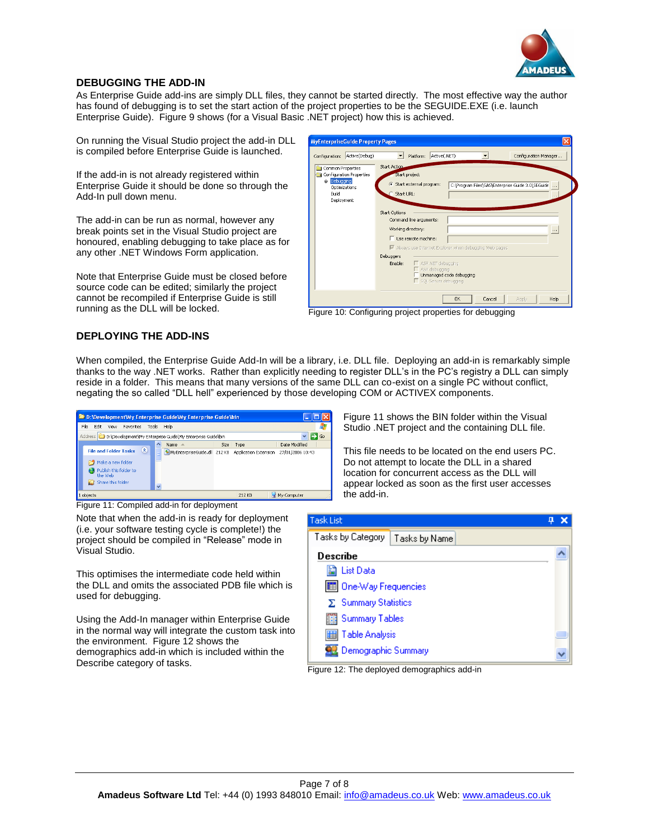

## **DEBUGGING THE ADD-IN**

As Enterprise Guide add-ins are simply DLL files, they cannot be started directly. The most effective way the author has found of debugging is to set the start action of the project properties to be the SEGUIDE.EXE (i.e. launch Enterprise Guide). Figure 9 shows (for a Visual Basic .NET project) how this is achieved.

On running the Visual Studio project the add-in DLL is compiled before Enterprise Guide is launched.

If the add-in is not already registered within Enterprise Guide it should be done so through the Add-In pull down menu.

The add-in can be run as normal, however any break points set in the Visual Studio project are honoured, enabling debugging to take place as for any other .NET Windows Form application.

Note that Enterprise Guide must be closed before source code can be edited; similarly the project cannot be recompiled if Enterprise Guide is still

| Configuration: Active(Debug)                                                                              | Active(.NET)<br>Configuration Manager<br>Platform:                                                                                                                        |
|-----------------------------------------------------------------------------------------------------------|---------------------------------------------------------------------------------------------------------------------------------------------------------------------------|
| Common Properties<br>Configuration Properties<br><b>Debugging</b><br>Optimizations<br>Build<br>Deployment | <b>Start Action</b><br>Start project<br>Start external program:<br>C:\Program Files\SAS\Enterprise Guide 3.0\SEGuide<br>$\sim$<br>Start URL:<br>Start Options             |
|                                                                                                           | Command line arguments:<br>Working directory:<br>$\cdots$<br>Use remote machine:                                                                                          |
|                                                                                                           | ↓ Always use Internet Explorer when debugging Web pages<br>Debuggers<br>Enable:<br>ASP.NET debugging<br>ASP debugging<br>Unmanaged code debugging<br>SQL Server debugging |

Figure 10: Configuring project properties for debugging

## **DEPLOYING THE ADD-INS**

When compiled, the Enterprise Guide Add-In will be a library, i.e. DLL file. Deploying an add-in is remarkably simple thanks to the way .NET works. Rather than explicitly needing to register DLL's in the PC's registry a DLL can simply reside in a folder. This means that many versions of the same DLL can co-exist on a single PC without conflict, negating the so called "DLL hell" experienced by those developing COM or ACTIVEX components.

| <b>D:</b> D: Development Wy Enterprise Guide Wy Enterprise Guide \bin                                            |                                                                   |           |                         |
|------------------------------------------------------------------------------------------------------------------|-------------------------------------------------------------------|-----------|-------------------------|
| File<br>Edit<br>Favorites Tools<br><b>View</b>                                                                   | Help                                                              |           |                         |
| Address D:\Development\My Enterprise Guide\My Enterprise Guide\bin                                               |                                                                   |           | $\checkmark$<br>Go<br>∍ |
|                                                                                                                  | Name<br>A                                                         | Size Type | Date Modified           |
| 変<br><b>File and Folder Tasks</b><br>Make a new folder<br>Publish this folder to<br>the Web<br>Share this folder | MyEnterpriseGuide.dll 212 KB Application Extension<br>$\ddotmark$ |           | 27/01/2006 10:43        |
| 1 objects                                                                                                        |                                                                   | 212 KB    | My Computer             |

Figure 11: Compiled add-in for deployment

Note that when the add-in is ready for deployment (i.e. your software testing cycle is complete!) the project should be compiled in "Release" mode in Visual Studio.

This optimises the intermediate code held within the DLL and omits the associated PDB file which is used for debugging.

Using the Add-In manager within Enterprise Guide in the normal way will integrate the custom task into the environment. Figure 12 shows the demographics add-in which is included within the Describe category of tasks.

Figure 11 shows the BIN folder within the Visual Studio .NET project and the containing DLL file.

This file needs to be located on the end users PC. Do not attempt to locate the DLL in a shared location for concurrent access as the DLL will appear locked as soon as the first user accesses the add-in.

| <b>Task List</b>                   |  |  |  |  |  |
|------------------------------------|--|--|--|--|--|
| Tasks by Category<br>Tasks by Name |  |  |  |  |  |
| <b>Describe</b>                    |  |  |  |  |  |
| la List Data                       |  |  |  |  |  |
| 图 One-Way Frequencies              |  |  |  |  |  |
| $\Sigma$ Summary Statistics        |  |  |  |  |  |
| Summary Tables                     |  |  |  |  |  |
| <b>III</b> Table Analysis          |  |  |  |  |  |
| Demographic Summary                |  |  |  |  |  |

Figure 12: The deployed demographics add-in